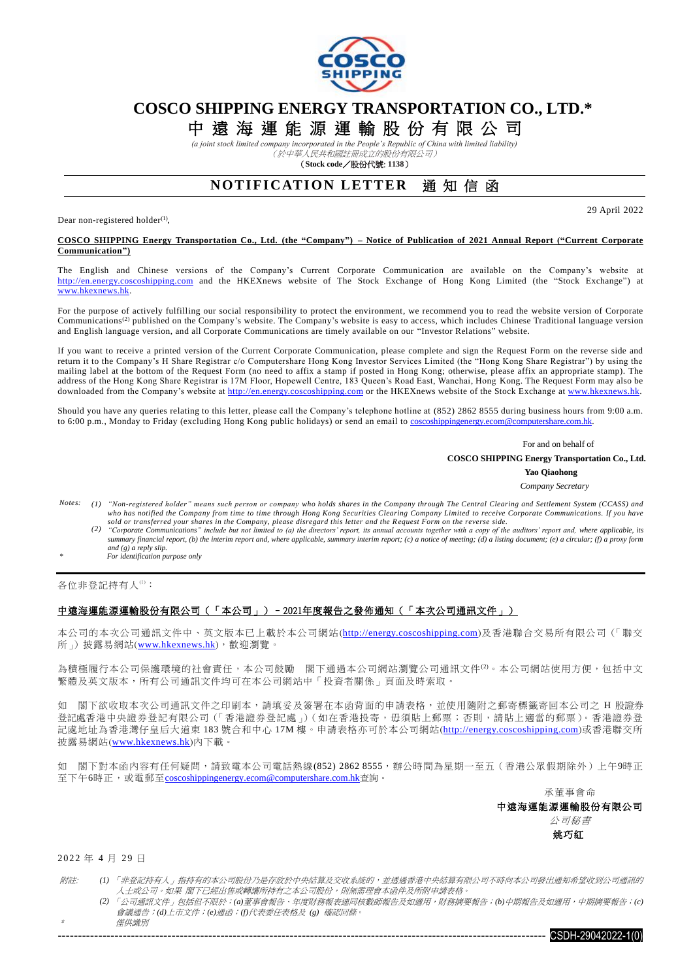

### **COSCO SHIPPING ENERGY TRANSPORTATION CO., LTD.\***

# 中 遠 海 運 能 源 運 輸 股 份 有 限 公 司

*(a joint stock limited company incorporated in the People's Republic of China with limited liability)* (於中華人民共和國註冊成立的股份有限公司)

(**Stock code**/股份代號: **1138**)

### **NOTIFICATION LETTER 通知信函**

Dear non-registered holder $^{(1)}$ ,

29 April 2022

#### **COSCO SHIPPING Energy Transportation Co., Ltd. (the "Company") – Notice of Publication of 2021 Annual Report ("Current Corporate Communication")**

The English and Chinese versions of the Company's Current Corporate Communication are available on the Company's website at [http://en.energy.coscoshipping.com](http://en.energy.coscoshipping.com/) and the HKEXnews website of The Stock Exchange of Hong Kong Limited (the "Stock Exchange") at www.hkexnews.hk.

For the purpose of actively fulfilling our social responsibility to protect the environment, we recommend you to read the website version of Corporate Communications<sup>(2)</sup> published on the Company's website. The Company's website is easy to access, which includes Chinese Traditional language version and English language version, and all Corporate Communications are timely available on our "Investor Relations" website.

If you want to receive a printed version of the Current Corporate Communication, please complete and sign the Request Form on the reverse side and return it to the Company's H Share Registrar c/o Computershare Hong Kong Investor Services Limited (the "Hong Kong Share Registrar") by using the mailing label at the bottom of the Request Form (no need to affix a stamp if posted in Hong Kong; otherwise, please affix an appropriate stamp). The address of the Hong Kong Share Registrar is 17M Floor, Hopewell Centre, 183 Queen's Road East, Wanchai, Hong Kong. The Request Form may also be downloaded from the Company's website at [http://en.energy.coscoshipping.com](http://en.energy.coscoshipping.com/) or the HKEXnews website of the Stock Exchange at [www.hkexnews.hk.](http://www.hkexnews.hk/)

Should you have any queries relating to this letter, please call the Company's telephone hotline at (852) 2862 8555 during business hours from 9:00 a.m. to 6:00 p.m., Monday to Friday (excluding Hong Kong public holidays) or send an email to coscoshippingenergy.ecom@computershare.com.hk

> For and on behalf of  **COSCO SHIPPING Energy Transportation Co., Ltd.**

**Yao Qiaohong**

- *Company Secretary*
- *Notes: (1) "Non-registered holder" means such person or company who holds shares in the Company through The Central Clearing and Settlement System (CCASS) and who has notified the Company from time to time through Hong Kong Securities Clearing Company Limited to receive Corporate Communications. If you have sold or transferred your shares in the Company, please disregard this letter and the Request Form on the reverse side.*
	- (2) "Corporate Communications" include but not limited to (a) the directors' report, its annual accounts together with a copy of the auditors' report and, where applicable, its summary financial report, (b) the interim re *and (g) a reply slip.*
- *\* For identification purpose only*

各位非登記持有人(1):

#### 中遠海運能源運輸股份有限公司(「本公司」)–2021年度報告之發佈通知(「本次公司通訊文件」)

本公司的本次公司通訊文件中、英文版本已上載於本公司網站([http://energy.coscoshipping.com](http://energy.coscoshipping.com/))及香港聯合交易所有限公司(「聯交 所」)披露易網站([www.hkexnews.hk](http://www.hkexnews.hk/index_c.htm)),歡迎瀏覽。

為積極履行本公司保護環境的社會責任,本公司鼓勵 閣下通過本公司網站瀏覽公司通訊文件(2)。本公司網站使用方便,包括中文 繁體及英文版本,所有公司通訊文件均可在本公司網站中「投資者關係」頁面及時索取。

如 閣下欲收取本次公司通訊文件之印刷本,請填妥及簽署在本函背面的申請表格,並使用隨附之郵寄標籤寄回本公司之 H 股證券 .<br>登記處香港中央證券登記有限公司(「香港證券登記處」)(如在香港投寄,毋須貼上郵票;否則,請貼上適當的郵票)。香港證券登 記處地址為香港灣仔皇后大道東 183 號合和中心 17M 樓。申請表格亦可於本公司網站([http://energy.coscoshipping.com](http://energy.coscoshipping.com/))或香港聯交所 披露易網站([www.hkexnews.hk](http://www.hkexnews.hk/index_c.htm))內下載。

如 閣下對本函內容有任何疑問,請致電本公司電話熱線(852) 2862 8555,辦公時間為星期一至五(香港公眾假期除外)上午9時正 至下午6時正,或電郵至[coscoshippingenergy.ecom@computershare.com.hk](mailto:coscoshippingenergy.ecom@computershare.com.hk)查詢。

承董事會命

中遠海運能源運輸股份有限公司 公司秘書

姚巧紅

2022年4月29日

\*

- 附註: *(1)* 「非登記持有人」指持有的本公司股份乃是存放於中央結算及交收系統的,並透過香港中央結算有限公司不時向本公司發出通知希望收到公司通訊的 人士或公司。如果 閣下已經出售或轉讓所持有之本公司股份,則無需理會本函件及所附申請表格。
	- *(2)* 「公司通訊文件」包括但不限於:*(a)*董事會報告、年度財務報表連同核數師報告及如適用,財務摘要報告;*(b)*中期報告及如適用,中期摘要報告;*(c)* 會議通告;*(d)*上市文件;*(e)*通函;*(f)*代表委任表格及 *(g)* 確認回條。 僅供識別
		- ------------------------------------------------------------------------------------------------------------------------ CSDH-29042022-1(0)